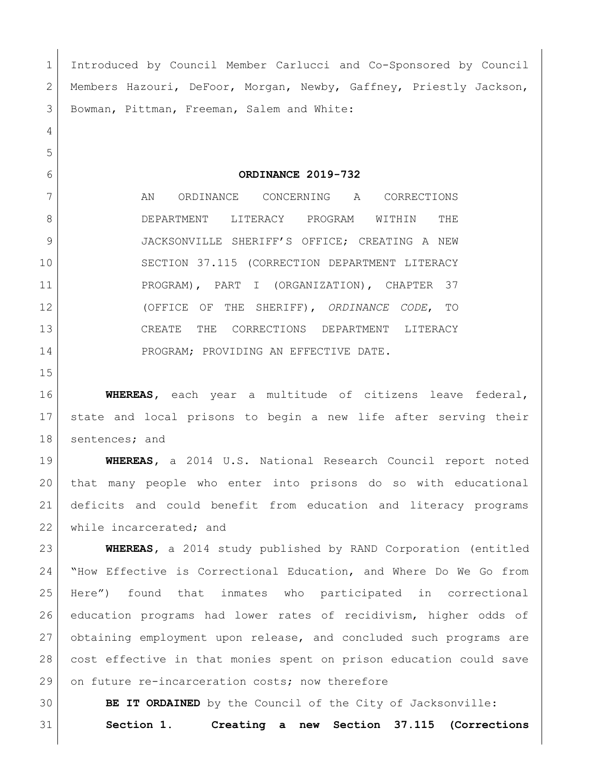Introduced by Council Member Carlucci and Co-Sponsored by Council Members Hazouri, DeFoor, Morgan, Newby, Gaffney, Priestly Jackson, Bowman, Pittman, Freeman, Salem and White: **ORDINANCE 2019-732** 7 AN ORDINANCE CONCERNING A CORRECTIONS DEPARTMENT LITERACY PROGRAM WITHIN THE JACKSONVILLE SHERIFF'S OFFICE; CREATING A NEW SECTION 37.115 (CORRECTION DEPARTMENT LITERACY 11 | PROGRAM), PART I (ORGANIZATION), CHAPTER 37 (OFFICE OF THE SHERIFF), *ORDINANCE CODE*, TO CREATE THE CORRECTIONS DEPARTMENT LITERACY 14 PROGRAM; PROVIDING AN EFFECTIVE DATE. **WHEREAS,** each year a multitude of citizens leave federal, state and local prisons to begin a new life after serving their 18 sentences; and **WHEREAS,** a 2014 U.S. National Research Council report noted that many people who enter into prisons do so with educational deficits and could benefit from education and literacy programs 22 while incarcerated; and **WHEREAS,** a 2014 study published by RAND Corporation (entitled "How Effective is Correctional Education, and Where Do We Go from Here") found that inmates who participated in correctional education programs had lower rates of recidivism, higher odds of obtaining employment upon release, and concluded such programs are cost effective in that monies spent on prison education could save

29 on future re-incarceration costs; now therefore

**BE IT ORDAINED** by the Council of the City of Jacksonville:

**Section 1. Creating a new Section 37.115 (Corrections**